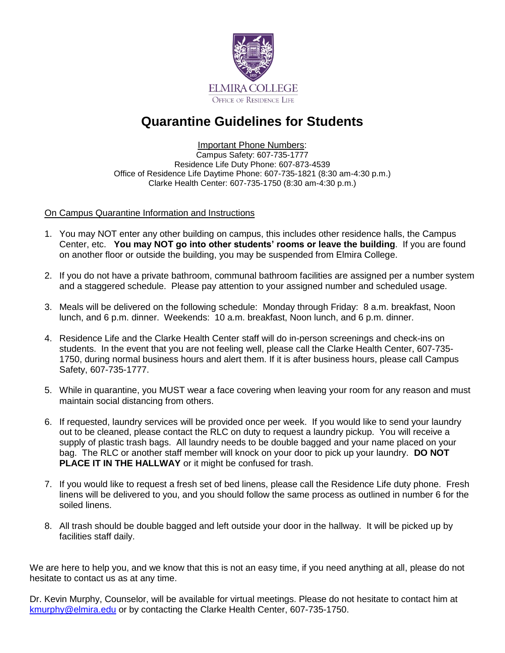

## **Quarantine Guidelines for Students**

Important Phone Numbers:

Campus Safety: 607-735-1777 Residence Life Duty Phone: 607-873-4539 Office of Residence Life Daytime Phone: 607-735-1821 (8:30 am-4:30 p.m.) Clarke Health Center: 607-735-1750 (8:30 am-4:30 p.m.)

## On Campus Quarantine Information and Instructions

- 1. You may NOT enter any other building on campus, this includes other residence halls, the Campus Center, etc. **You may NOT go into other students' rooms or leave the building**. If you are found on another floor or outside the building, you may be suspended from Elmira College.
- 2. If you do not have a private bathroom, communal bathroom facilities are assigned per a number system and a staggered schedule. Please pay attention to your assigned number and scheduled usage.
- 3. Meals will be delivered on the following schedule: Monday through Friday: 8 a.m. breakfast, Noon lunch, and 6 p.m. dinner. Weekends: 10 a.m. breakfast, Noon lunch, and 6 p.m. dinner.
- 4. Residence Life and the Clarke Health Center staff will do in-person screenings and check-ins on students. In the event that you are not feeling well, please call the Clarke Health Center, 607-735- 1750, during normal business hours and alert them. If it is after business hours, please call Campus Safety, 607-735-1777.
- 5. While in quarantine, you MUST wear a face covering when leaving your room for any reason and must maintain social distancing from others.
- 6. If requested, laundry services will be provided once per week. If you would like to send your laundry out to be cleaned, please contact the RLC on duty to request a laundry pickup. You will receive a supply of plastic trash bags. All laundry needs to be double bagged and your name placed on your bag. The RLC or another staff member will knock on your door to pick up your laundry. **DO NOT PLACE IT IN THE HALLWAY** or it might be confused for trash.
- 7. If you would like to request a fresh set of bed linens, please call the Residence Life duty phone. Fresh linens will be delivered to you, and you should follow the same process as outlined in number 6 for the soiled linens.
- 8. All trash should be double bagged and left outside your door in the hallway. It will be picked up by facilities staff daily.

We are here to help you, and we know that this is not an easy time, if you need anything at all, please do not hesitate to contact us as at any time.

Dr. Kevin Murphy, Counselor, will be available for virtual meetings. Please do not hesitate to contact him at [kmurphy@elmira.edu](mailto:kmurphy@elmira.edu) or by contacting the Clarke Health Center, 607-735-1750.